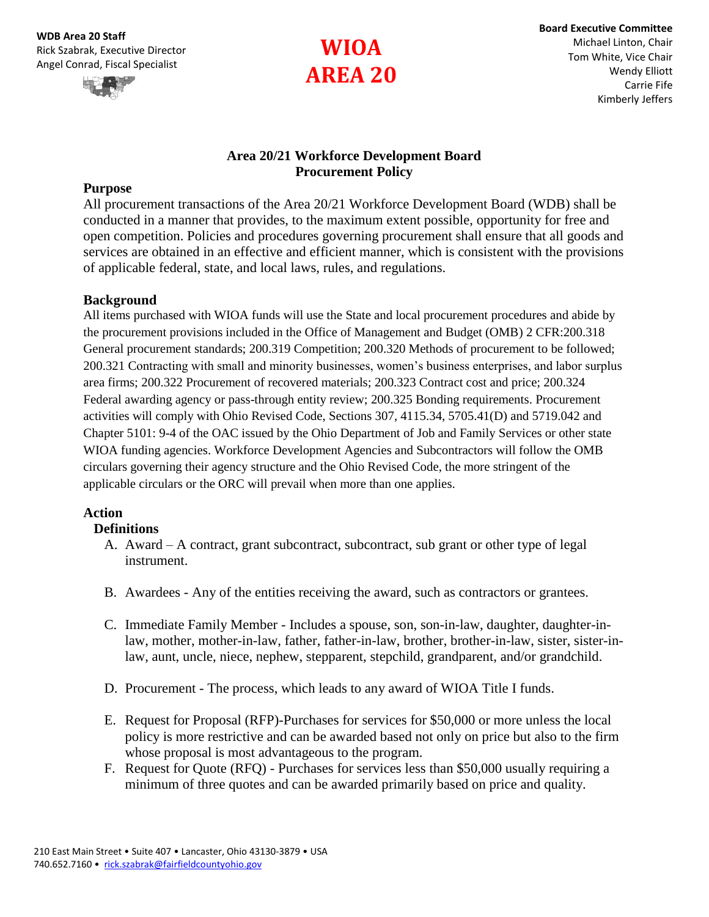

## **Area 20/21 Workforce Development Board Procurement Policy**

#### **Purpose**

All procurement transactions of the Area 20/21 Workforce Development Board (WDB) shall be conducted in a manner that provides, to the maximum extent possible, opportunity for free and open competition. Policies and procedures governing procurement shall ensure that all goods and services are obtained in an effective and efficient manner, which is consistent with the provisions of applicable federal, state, and local laws, rules, and regulations.

#### **Background**

All items purchased with WIOA funds will use the State and local procurement procedures and abide by the procurement provisions included in the Office of Management and Budget (OMB) 2 CFR:200.318 General procurement standards; 200.319 Competition; 200.320 Methods of procurement to be followed; 200.321 Contracting with small and minority businesses, women's business enterprises, and labor surplus area firms; 200.322 Procurement of recovered materials; 200.323 Contract cost and price; 200.324 Federal awarding agency or pass-through entity review; 200.325 Bonding requirements. Procurement activities will comply with Ohio Revised Code, Sections 307, 4115.34, 5705.41(D) and 5719.042 and Chapter 5101: 9-4 of the OAC issued by the Ohio Department of Job and Family Services or other state WIOA funding agencies. Workforce Development Agencies and Subcontractors will follow the OMB circulars governing their agency structure and the Ohio Revised Code, the more stringent of the applicable circulars or the ORC will prevail when more than one applies.

#### **Action**

#### **Definitions**

- A. Award A contract, grant subcontract, subcontract, sub grant or other type of legal instrument.
- B. Awardees Any of the entities receiving the award, such as contractors or grantees.
- C. Immediate Family Member Includes a spouse, son, son-in-law, daughter, daughter-inlaw, mother, mother-in-law, father, father-in-law, brother, brother-in-law, sister, sister-inlaw, aunt, uncle, niece, nephew, stepparent, stepchild, grandparent, and/or grandchild.
- D. Procurement The process, which leads to any award of WIOA Title I funds.
- E. Request for Proposal (RFP)-Purchases for services for \$50,000 or more unless the local policy is more restrictive and can be awarded based not only on price but also to the firm whose proposal is most advantageous to the program.
- F. Request for Quote (RFQ) Purchases for services less than \$50,000 usually requiring a minimum of three quotes and can be awarded primarily based on price and quality.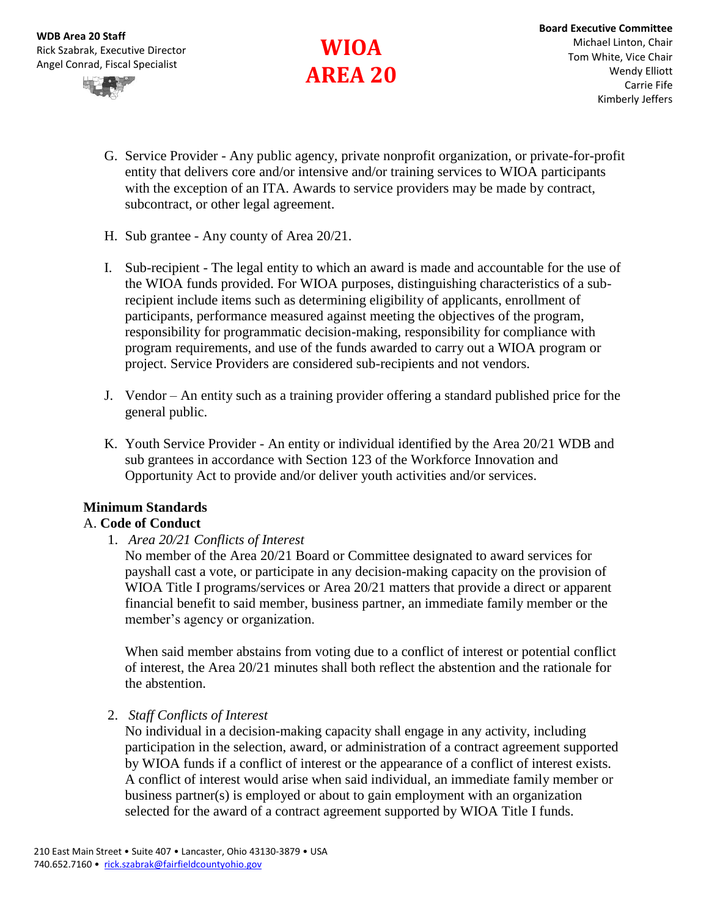**WDB Area 20 Staff** Rick Szabrak, Executive Director Angel Conrad, Fiscal Specialist



# **WIOA AREA 20**

- G. Service Provider Any public agency, private nonprofit organization, or private-for-profit entity that delivers core and/or intensive and/or training services to WIOA participants with the exception of an ITA. Awards to service providers may be made by contract, subcontract, or other legal agreement.
- H. Sub grantee Any county of Area 20/21.
- I. Sub-recipient The legal entity to which an award is made and accountable for the use of the WIOA funds provided. For WIOA purposes, distinguishing characteristics of a subrecipient include items such as determining eligibility of applicants, enrollment of participants, performance measured against meeting the objectives of the program, responsibility for programmatic decision-making, responsibility for compliance with program requirements, and use of the funds awarded to carry out a WIOA program or project. Service Providers are considered sub-recipients and not vendors.
- J. Vendor An entity such as a training provider offering a standard published price for the general public.
- K. Youth Service Provider An entity or individual identified by the Area 20/21 WDB and sub grantees in accordance with Section 123 of the Workforce Innovation and Opportunity Act to provide and/or deliver youth activities and/or services.

# **Minimum Standards**

## A. **Code of Conduct**

1. *Area 20/21 Conflicts of Interest*

No member of the Area 20/21 Board or Committee designated to award services for payshall cast a vote, or participate in any decision-making capacity on the provision of WIOA Title I programs/services or Area 20/21 matters that provide a direct or apparent financial benefit to said member, business partner, an immediate family member or the member's agency or organization.

When said member abstains from voting due to a conflict of interest or potential conflict of interest, the Area 20/21 minutes shall both reflect the abstention and the rationale for the abstention.

#### 2. *Staff Conflicts of Interest*

No individual in a decision-making capacity shall engage in any activity, including participation in the selection, award, or administration of a contract agreement supported by WIOA funds if a conflict of interest or the appearance of a conflict of interest exists. A conflict of interest would arise when said individual, an immediate family member or business partner(s) is employed or about to gain employment with an organization selected for the award of a contract agreement supported by WIOA Title I funds.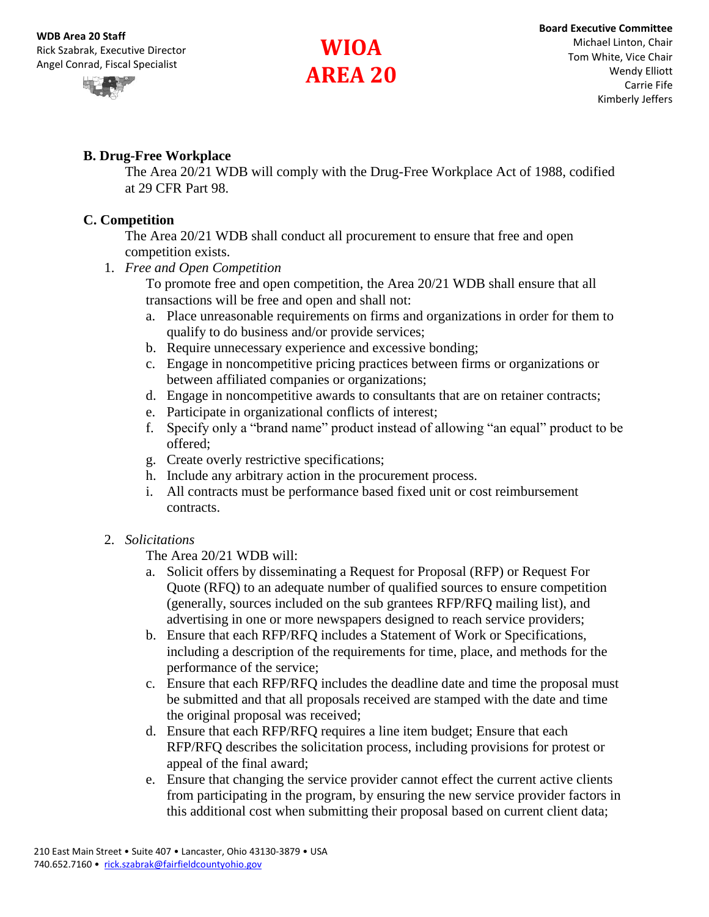

# **B. Drug-Free Workplace**

The Area 20/21 WDB will comply with the Drug-Free Workplace Act of 1988, codified at 29 CFR Part 98.

## **C. Competition**

The Area 20/21 WDB shall conduct all procurement to ensure that free and open competition exists.

1. *Free and Open Competition*

To promote free and open competition, the Area 20/21 WDB shall ensure that all transactions will be free and open and shall not:

- a. Place unreasonable requirements on firms and organizations in order for them to qualify to do business and/or provide services;
- b. Require unnecessary experience and excessive bonding;
- c. Engage in noncompetitive pricing practices between firms or organizations or between affiliated companies or organizations;
- d. Engage in noncompetitive awards to consultants that are on retainer contracts;
- e. Participate in organizational conflicts of interest;
- f. Specify only a "brand name" product instead of allowing "an equal" product to be offered;
- g. Create overly restrictive specifications;
- h. Include any arbitrary action in the procurement process.
- i. All contracts must be performance based fixed unit or cost reimbursement contracts.

## 2. *Solicitations*

The Area 20/21 WDB will:

- a. Solicit offers by disseminating a Request for Proposal (RFP) or Request For Quote (RFQ) to an adequate number of qualified sources to ensure competition (generally, sources included on the sub grantees RFP/RFQ mailing list), and advertising in one or more newspapers designed to reach service providers;
- b. Ensure that each RFP/RFQ includes a Statement of Work or Specifications, including a description of the requirements for time, place, and methods for the performance of the service;
- c. Ensure that each RFP/RFQ includes the deadline date and time the proposal must be submitted and that all proposals received are stamped with the date and time the original proposal was received;
- d. Ensure that each RFP/RFQ requires a line item budget; Ensure that each RFP/RFQ describes the solicitation process, including provisions for protest or appeal of the final award;
- e. Ensure that changing the service provider cannot effect the current active clients from participating in the program, by ensuring the new service provider factors in this additional cost when submitting their proposal based on current client data;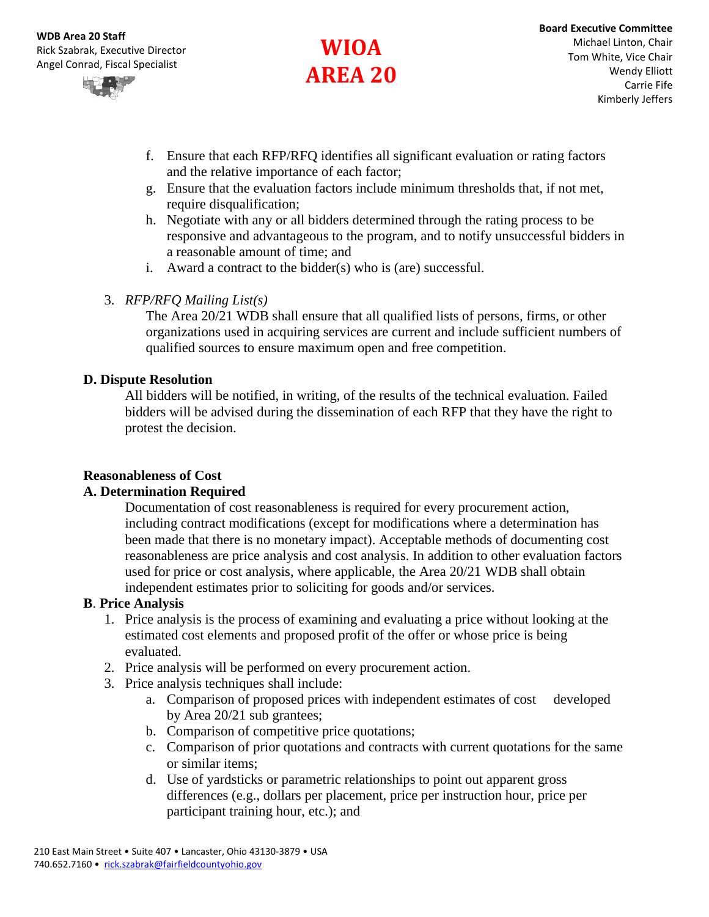

- f. Ensure that each RFP/RFQ identifies all significant evaluation or rating factors and the relative importance of each factor;
- g. Ensure that the evaluation factors include minimum thresholds that, if not met, require disqualification;
- h. Negotiate with any or all bidders determined through the rating process to be responsive and advantageous to the program, and to notify unsuccessful bidders in a reasonable amount of time; and
- i. Award a contract to the bidder(s) who is (are) successful.

# 3. *RFP/RFQ Mailing List(s)*

The Area 20/21 WDB shall ensure that all qualified lists of persons, firms, or other organizations used in acquiring services are current and include sufficient numbers of qualified sources to ensure maximum open and free competition.

#### **D. Dispute Resolution**

All bidders will be notified, in writing, of the results of the technical evaluation. Failed bidders will be advised during the dissemination of each RFP that they have the right to protest the decision.

## **Reasonableness of Cost**

## **A. Determination Required**

Documentation of cost reasonableness is required for every procurement action, including contract modifications (except for modifications where a determination has been made that there is no monetary impact). Acceptable methods of documenting cost reasonableness are price analysis and cost analysis. In addition to other evaluation factors used for price or cost analysis, where applicable, the Area 20/21 WDB shall obtain independent estimates prior to soliciting for goods and/or services.

## **B**. **Price Analysis**

- 1. Price analysis is the process of examining and evaluating a price without looking at the estimated cost elements and proposed profit of the offer or whose price is being evaluated.
- 2. Price analysis will be performed on every procurement action.
- 3. Price analysis techniques shall include:
	- a. Comparison of proposed prices with independent estimates of cost developed by Area 20/21 sub grantees;
	- b. Comparison of competitive price quotations;
	- c. Comparison of prior quotations and contracts with current quotations for the same or similar items;
	- d. Use of yardsticks or parametric relationships to point out apparent gross differences (e.g., dollars per placement, price per instruction hour, price per participant training hour, etc.); and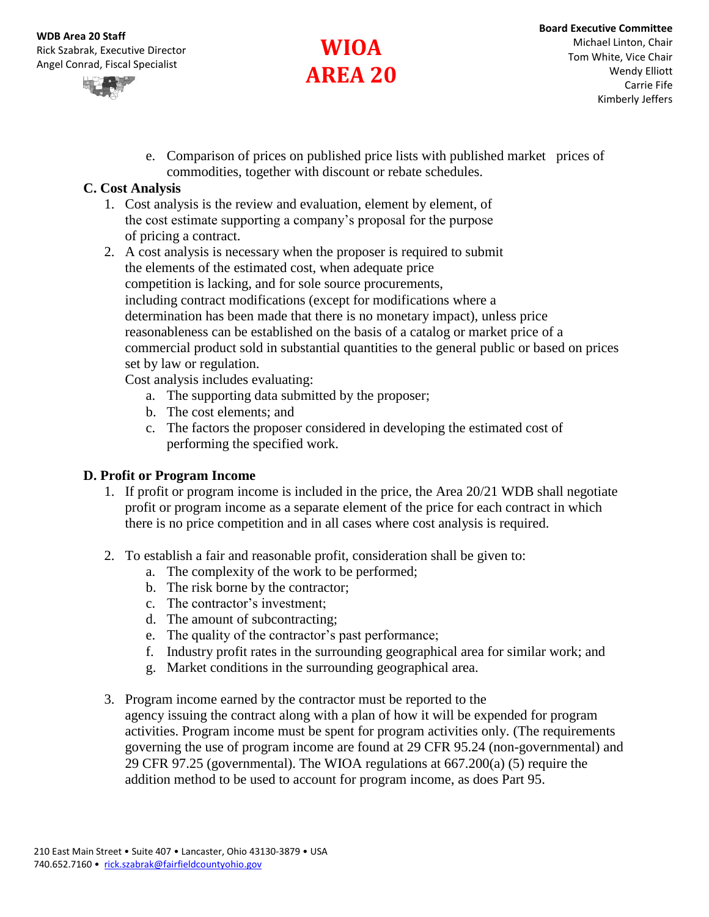

e. Comparison of prices on published price lists with published market prices of commodities, together with discount or rebate schedules.

# **C. Cost Analysis**

- 1. Cost analysis is the review and evaluation, element by element, of the cost estimate supporting a company's proposal for the purpose of pricing a contract.
- 2. A cost analysis is necessary when the proposer is required to submit the elements of the estimated cost, when adequate price competition is lacking, and for sole source procurements, including contract modifications (except for modifications where a determination has been made that there is no monetary impact), unless price reasonableness can be established on the basis of a catalog or market price of a commercial product sold in substantial quantities to the general public or based on prices set by law or regulation.

Cost analysis includes evaluating:

- a. The supporting data submitted by the proposer;
- b. The cost elements; and
- c. The factors the proposer considered in developing the estimated cost of performing the specified work.

## **D. Profit or Program Income**

- 1. If profit or program income is included in the price, the Area 20/21 WDB shall negotiate profit or program income as a separate element of the price for each contract in which there is no price competition and in all cases where cost analysis is required.
- 2. To establish a fair and reasonable profit, consideration shall be given to:
	- a. The complexity of the work to be performed;
	- b. The risk borne by the contractor;
	- c. The contractor's investment;
	- d. The amount of subcontracting;
	- e. The quality of the contractor's past performance;
	- f. Industry profit rates in the surrounding geographical area for similar work; and
	- g. Market conditions in the surrounding geographical area.
- 3. Program income earned by the contractor must be reported to the agency issuing the contract along with a plan of how it will be expended for program activities. Program income must be spent for program activities only. (The requirements governing the use of program income are found at 29 CFR 95.24 (non-governmental) and 29 CFR 97.25 (governmental). The WIOA regulations at 667.200(a) (5) require the addition method to be used to account for program income, as does Part 95.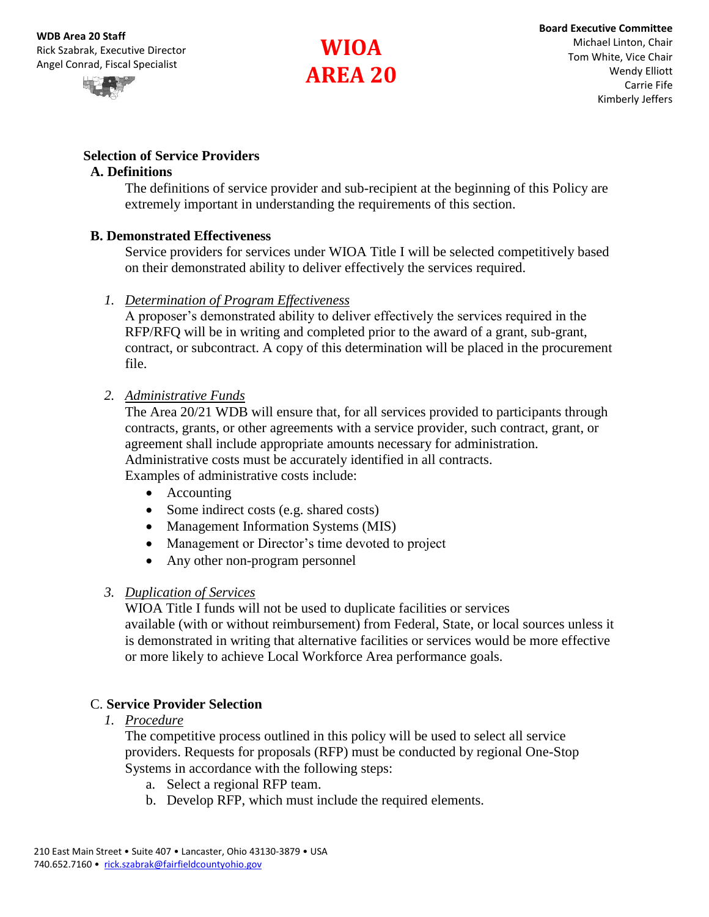

## **Selection of Service Providers**

#### **A. Definitions**

The definitions of service provider and sub-recipient at the beginning of this Policy are extremely important in understanding the requirements of this section.

#### **B. Demonstrated Effectiveness**

Service providers for services under WIOA Title I will be selected competitively based on their demonstrated ability to deliver effectively the services required.

*1. Determination of Program Effectiveness* 

A proposer's demonstrated ability to deliver effectively the services required in the RFP/RFQ will be in writing and completed prior to the award of a grant, sub-grant, contract, or subcontract. A copy of this determination will be placed in the procurement file.

#### *2. Administrative Funds*

The Area 20/21 WDB will ensure that, for all services provided to participants through contracts, grants, or other agreements with a service provider, such contract, grant, or agreement shall include appropriate amounts necessary for administration. Administrative costs must be accurately identified in all contracts. Examples of administrative costs include:

- Accounting
- Some indirect costs (e.g. shared costs)
- Management Information Systems (MIS)
- Management or Director's time devoted to project
- Any other non-program personnel

## *3. Duplication of Services*

WIOA Title I funds will not be used to duplicate facilities or services available (with or without reimbursement) from Federal, State, or local sources unless it is demonstrated in writing that alternative facilities or services would be more effective or more likely to achieve Local Workforce Area performance goals.

## C. **Service Provider Selection**

#### *1. Procedure*

The competitive process outlined in this policy will be used to select all service providers. Requests for proposals (RFP) must be conducted by regional One-Stop Systems in accordance with the following steps:

- a. Select a regional RFP team.
- b. Develop RFP, which must include the required elements.